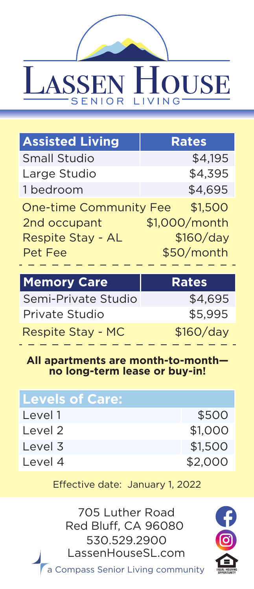# **LASSEN HOUSE** SENIOR LIVING<sup>-</sup>

| <b>Assisted Living</b>        | <b>Rates</b>  |
|-------------------------------|---------------|
| <b>Small Studio</b>           | \$4,195       |
| Large Studio                  | \$4,395       |
| 1 bedroom                     | \$4,695       |
| <b>One-time Community Fee</b> | \$1,500       |
| 2nd occupant                  | \$1,000/month |
| Respite Stay - AL             | \$160/day     |
| Pet Fee                       | \$50/month    |

| <b>Memory Care</b>  | <b>Rates</b> |
|---------------------|--------------|
| Semi-Private Studio | \$4,695      |
| Private Studio      | \$5.995      |
| Respite Stay - MC   | \$160/day    |

#### **All apartments are month-to-month no long-term lease or buy-in!**

| <b>Levels of Care:</b> |         |
|------------------------|---------|
| Level 1                | \$500   |
| Level 2                | \$1,000 |
| Level 3                | \$1,500 |
| Level 4                | \$2,000 |

Effective date: January 1, 2022

530.529.2900 LassenHouseSL.com a Compass Senior Living community 705 Luther Road Red Bluff, CA 96080